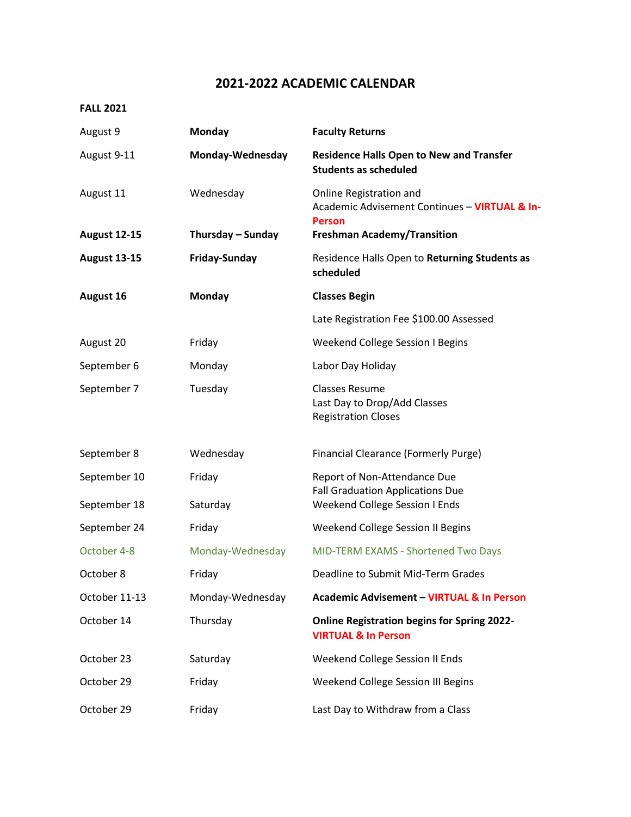## **2021-2022 ACADEMIC CALENDAR**

## **FALL 2021**

| August 9            | <b>Monday</b>        | <b>Faculty Returns</b>                                                               |
|---------------------|----------------------|--------------------------------------------------------------------------------------|
| August 9-11         | Monday-Wednesday     | <b>Residence Halls Open to New and Transfer</b><br><b>Students as scheduled</b>      |
| August 11           | Wednesday            | Online Registration and<br>Academic Advisement Continues - VIRTUAL & In-             |
| <b>August 12-15</b> | Thursday - Sunday    | <b>Person</b><br><b>Freshman Academy/Transition</b>                                  |
| <b>August 13-15</b> | <b>Friday-Sunday</b> | Residence Halls Open to Returning Students as<br>scheduled                           |
| August 16           | <b>Monday</b>        | <b>Classes Begin</b>                                                                 |
|                     |                      | Late Registration Fee \$100.00 Assessed                                              |
| August 20           | Friday               | <b>Weekend College Session I Begins</b>                                              |
| September 6         | Monday               | Labor Day Holiday                                                                    |
| September 7         | Tuesday              | <b>Classes Resume</b><br>Last Day to Drop/Add Classes<br><b>Registration Closes</b>  |
| September 8         | Wednesday            | <b>Financial Clearance (Formerly Purge)</b>                                          |
| September 10        | Friday               | Report of Non-Attendance Due<br><b>Fall Graduation Applications Due</b>              |
| September 18        | Saturday             | Weekend College Session I Ends                                                       |
| September 24        | Friday               | Weekend College Session II Begins                                                    |
| October 4-8         | Monday-Wednesday     | MID-TERM EXAMS - Shortened Two Days                                                  |
| October 8           | Friday               | Deadline to Submit Mid-Term Grades                                                   |
| October 11-13       | Monday-Wednesday     | <b>Academic Advisement - VIRTUAL &amp; In Person</b>                                 |
| October 14          | Thursday             | <b>Online Registration begins for Spring 2022-</b><br><b>VIRTUAL &amp; In Person</b> |
| October 23          | Saturday             | Weekend College Session II Ends                                                      |
| October 29          | Friday               | Weekend College Session III Begins                                                   |
| October 29          | Friday               | Last Day to Withdraw from a Class                                                    |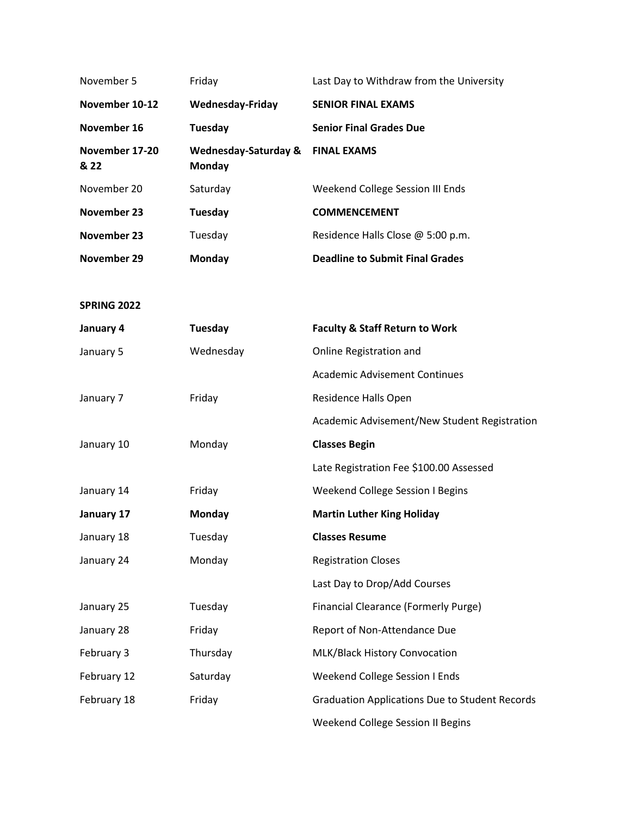| November 5             | Friday                                    | Last Day to Withdraw from the University              |  |
|------------------------|-------------------------------------------|-------------------------------------------------------|--|
| November 10-12         | <b>Wednesday-Friday</b>                   | <b>SENIOR FINAL EXAMS</b>                             |  |
| November 16            | <b>Tuesday</b>                            | <b>Senior Final Grades Due</b>                        |  |
| November 17-20<br>& 22 | <b>Wednesday-Saturday &amp;</b><br>Monday | <b>FINAL EXAMS</b>                                    |  |
| November 20            | Saturday                                  | Weekend College Session III Ends                      |  |
| November 23            | Tuesday                                   | <b>COMMENCEMENT</b>                                   |  |
| November 23            | Tuesday                                   | Residence Halls Close @ 5:00 p.m.                     |  |
| November 29            | Monday                                    | <b>Deadline to Submit Final Grades</b>                |  |
|                        |                                           |                                                       |  |
| <b>SPRING 2022</b>     |                                           |                                                       |  |
| January 4              | Tuesday                                   | <b>Faculty &amp; Staff Return to Work</b>             |  |
| January 5              | Wednesday                                 | Online Registration and                               |  |
|                        |                                           | <b>Academic Advisement Continues</b>                  |  |
| January 7              | Friday                                    | Residence Halls Open                                  |  |
|                        |                                           | Academic Advisement/New Student Registration          |  |
| January 10             | Monday                                    | <b>Classes Begin</b>                                  |  |
|                        |                                           | Late Registration Fee \$100.00 Assessed               |  |
| January 14             | Friday                                    | Weekend College Session I Begins                      |  |
| January 17             | Monday                                    | <b>Martin Luther King Holiday</b>                     |  |
| January 18             | Tuesday                                   | <b>Classes Resume</b>                                 |  |
| January 24             | Monday                                    | <b>Registration Closes</b>                            |  |
|                        |                                           | Last Day to Drop/Add Courses                          |  |
| January 25             | Tuesday                                   | <b>Financial Clearance (Formerly Purge)</b>           |  |
| January 28             | Friday                                    | Report of Non-Attendance Due                          |  |
| February 3             | Thursday                                  | MLK/Black History Convocation                         |  |
| February 12            | Saturday                                  | Weekend College Session I Ends                        |  |
| February 18            | Friday                                    | <b>Graduation Applications Due to Student Records</b> |  |
|                        |                                           | Weekend College Session II Begins                     |  |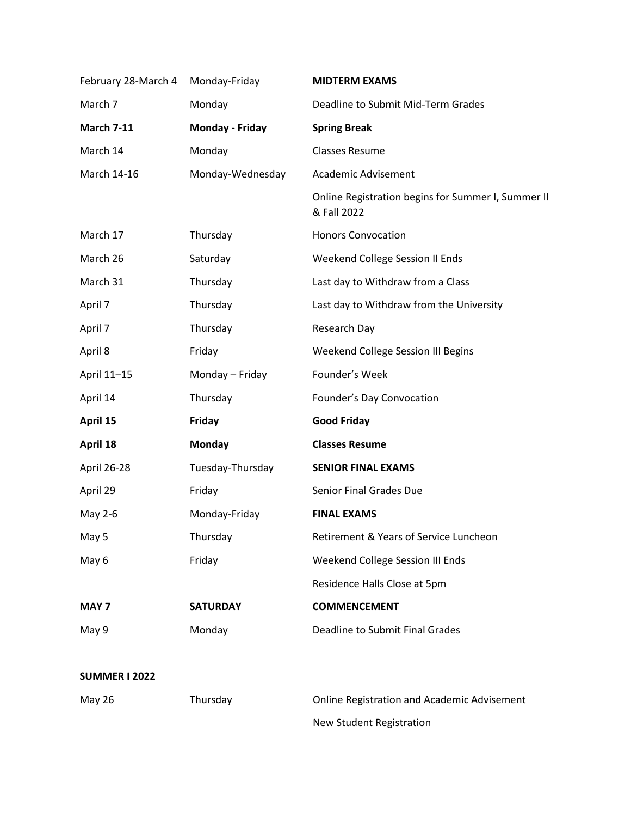| February 28-March 4 | Monday-Friday    | <b>MIDTERM EXAMS</b>                                              |
|---------------------|------------------|-------------------------------------------------------------------|
| March 7             | Monday           | Deadline to Submit Mid-Term Grades                                |
| <b>March 7-11</b>   | Monday - Friday  | <b>Spring Break</b>                                               |
| March 14            | Monday           | <b>Classes Resume</b>                                             |
| March 14-16         | Monday-Wednesday | Academic Advisement                                               |
|                     |                  | Online Registration begins for Summer I, Summer II<br>& Fall 2022 |
| March 17            | Thursday         | <b>Honors Convocation</b>                                         |
| March 26            | Saturday         | Weekend College Session II Ends                                   |
| March 31            | Thursday         | Last day to Withdraw from a Class                                 |
| April 7             | Thursday         | Last day to Withdraw from the University                          |
| April 7             | Thursday         | Research Day                                                      |
| April 8             | Friday           | Weekend College Session III Begins                                |
| April 11-15         | Monday - Friday  | Founder's Week                                                    |
| April 14            | Thursday         | Founder's Day Convocation                                         |
| April 15            | <b>Friday</b>    | <b>Good Friday</b>                                                |
| April 18            | <b>Monday</b>    | <b>Classes Resume</b>                                             |
| April 26-28         | Tuesday-Thursday | <b>SENIOR FINAL EXAMS</b>                                         |
| April 29            | Friday           | Senior Final Grades Due                                           |
| May 2-6             | Monday-Friday    | <b>FINAL EXAMS</b>                                                |
| May 5               | Thursday         | Retirement & Years of Service Luncheon                            |
| May 6               | Friday           | Weekend College Session III Ends                                  |
|                     |                  | Residence Halls Close at 5pm                                      |
| MAY <sub>7</sub>    | <b>SATURDAY</b>  | <b>COMMENCEMENT</b>                                               |
| May 9               | Monday           | Deadline to Submit Final Grades                                   |
|                     |                  |                                                                   |

## **SUMMER I 2022**

| May 26 | Thursday | <b>Online Registration and Academic Advisement</b> |
|--------|----------|----------------------------------------------------|
|        |          | New Student Registration                           |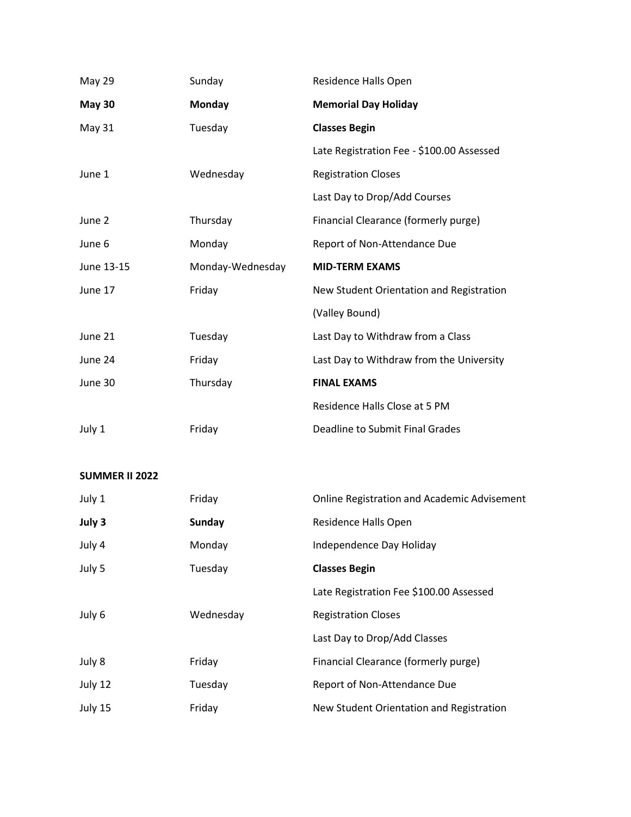| <b>May 29</b> | Sunday           | Residence Halls Open                      |
|---------------|------------------|-------------------------------------------|
| <b>May 30</b> | Monday           | <b>Memorial Day Holiday</b>               |
| May 31        | Tuesday          | <b>Classes Begin</b>                      |
|               |                  | Late Registration Fee - \$100.00 Assessed |
| June 1        | Wednesday        | <b>Registration Closes</b>                |
|               |                  | Last Day to Drop/Add Courses              |
| June 2        | Thursday         | Financial Clearance (formerly purge)      |
| June 6        | Monday           | Report of Non-Attendance Due              |
|               |                  |                                           |
| June 13-15    | Monday-Wednesday | <b>MID-TERM EXAMS</b>                     |
| June 17       | Friday           | New Student Orientation and Registration  |
|               |                  | (Valley Bound)                            |
| June 21       | Tuesday          | Last Day to Withdraw from a Class         |
| June 24       | Friday           | Last Day to Withdraw from the University  |
| June 30       | Thursday         | <b>FINAL EXAMS</b>                        |
|               |                  | Residence Halls Close at 5 PM             |

## **SUMMER II 2022**

| July 1  | Friday    | <b>Online Registration and Academic Advisement</b> |
|---------|-----------|----------------------------------------------------|
| July 3  | Sunday    | Residence Halls Open                               |
| July 4  | Monday    | Independence Day Holiday                           |
| July 5  | Tuesday   | <b>Classes Begin</b>                               |
|         |           | Late Registration Fee \$100.00 Assessed            |
| July 6  | Wednesday | <b>Registration Closes</b>                         |
|         |           | Last Day to Drop/Add Classes                       |
| July 8  | Friday    | Financial Clearance (formerly purge)               |
| July 12 | Tuesday   | Report of Non-Attendance Due                       |
| July 15 | Friday    | New Student Orientation and Registration           |